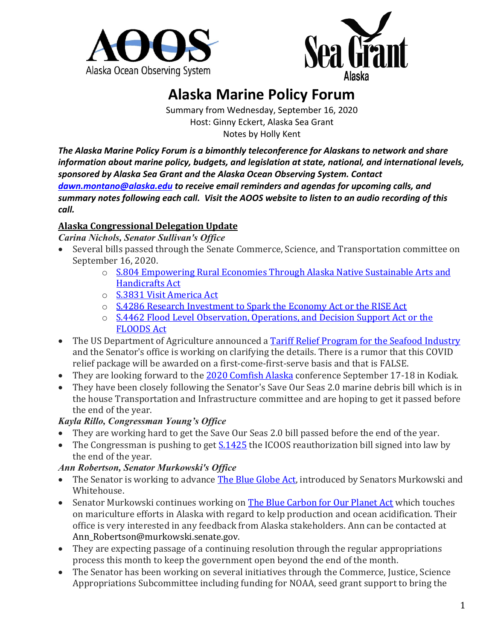



# **Alaska Marine Policy Forum**

Summary from Wednesday, September 16, 2020 Host: Ginny Eckert, Alaska Sea Grant Notes by Holly Kent

*The Alaska Marine Policy Forum is a bimonthly teleconference for Alaskans to network and share information about marine policy, budgets, and legislation at state, national, and international levels, sponsored by Alaska Sea Grant and the Alaska Ocean Observing System. Contact [dawn.montano@alaska.edu](mailto:dawn.montano@alaska.edu) to receive email reminders and agendas for upcoming calls, and summary notes following each call. Visit the AOOS website to listen to an audio recording of this call.*

### **Alaska Congressional Delegation Update**

*Carina Nichols, Senator Sullivan's Office*

- Several bills passed through the Senate Commerce, Science, and Transportation committee on September 16, 2020.
	- o [S.804 Empowering Rural Economies Through Alaska Native Sustainable Arts and](https://www.congress.gov/bill/116th-congress/senate-bill/804/all-info)  [Handicrafts Act](https://www.congress.gov/bill/116th-congress/senate-bill/804/all-info)
	- o [S.3831 Visit America Act](https://www.congress.gov/bill/116th-congress/senate-bill/3831)
	- o [S.4286 Research Investment to Spark the Economy Act or the RISE Act](https://www.congress.gov/bill/116th-congress/senate-bill/4286)
	- o [S.4462 Flood Level Observation, Operations, and Decision Support Act or the](https://www.congress.gov/bill/116th-congress/senate-bill/4462)  [FLOODS Act](https://www.congress.gov/bill/116th-congress/senate-bill/4462)
- The US Department of Agriculture announced a [Tariff Relief Program for the Seafood Industry](https://www.usda.gov/media/press-releases/2020/09/09/usda-supports-us-seafood-industry-impacted-retaliatory-tariffs) and the Senator's office is working on clarifying the details. There is a rumor that this COVID relief package will be awarded on a first-come-first-serve basis and that is FALSE.
- They are looking forward to the [2020 Comfish Alaska](https://comfishak.com/schedule-of-events/) conference September 17-18 in Kodiak.
- They have been closely following the Senator's Save Our Seas 2.0 marine debris bill which is in the house Transportation and Infrastructure committee and are hoping to get it passed before the end of the year.

# *Kayla Rillo, Congressman Young's Office*

- They are working hard to get the Save Our Seas 2.0 bill passed before the end of the year.
- The Congressman is pushing to get  $S.1425$  the ICOOS reauthorization bill signed into law by the end of the year.

# *Ann Robertson, Senator Murkowski's Office*

- The Senator is working to advance [The Blue Globe Act,](https://www.congress.gov/bill/116th-congress/senate-bill/933) introduced by Senators Murkowski and Whitehouse.
- Senator Murkowski continues working on [The Blue Carbon for Our Planet Act](https://www.congress.gov/bill/116th-congress/house-bill/5589/text) which touches on mariculture efforts in Alaska with regard to kelp production and ocean acidification. Their office is very interested in any feedback from Alaska stakeholders. Ann can be contacted at Ann\_Robertson@murkowski.senate.gov.
- They are expecting passage of a continuing resolution through the regular appropriations process this month to keep the government open beyond the end of the month.
- The Senator has been working on several initiatives through the Commerce, Justice, Science Appropriations Subcommittee including funding for NOAA, seed grant support to bring the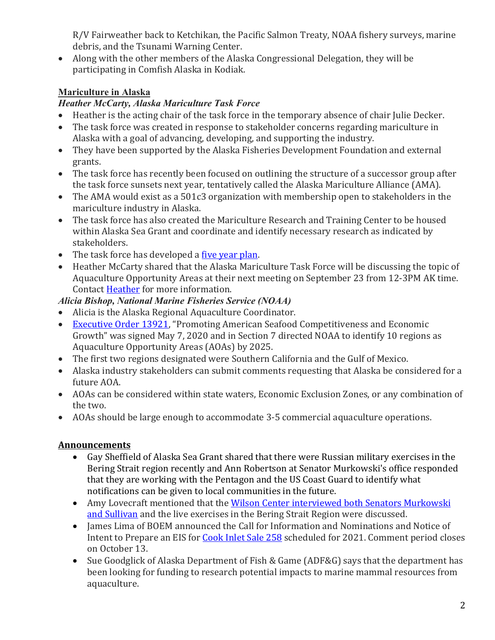R/V Fairweather back to Ketchikan, the Pacific Salmon Treaty, NOAA fishery surveys, marine debris, and the Tsunami Warning Center.

• Along with the other members of the Alaska Congressional Delegation, they will be participating in Comfish Alaska in Kodiak.

# **Mariculture in Alaska**

# *Heather McCarty, Alaska Mariculture Task Force*

- Heather is the acting chair of the task force in the temporary absence of chair Julie Decker.
- The task force was created in response to stakeholder concerns regarding mariculture in Alaska with a goal of advancing, developing, and supporting the industry.
- They have been supported by the Alaska Fisheries Development Foundation and external grants.
- The task force has recently been focused on outlining the structure of a successor group after the task force sunsets next year, tentatively called the Alaska Mariculture Alliance (AMA).
- The AMA would exist as a 501c3 organization with membership open to stakeholders in the mariculture industry in Alaska.
- The task force has also created the Mariculture Research and Training Center to be housed within Alaska Sea Grant and coordinate and identify necessary research as indicated by stakeholders.
- The task force has developed a <u>five year plan</u>.
- Heather McCarty shared that the Alaska Mariculture Task Force will be discussing the topic of Aquaculture Opportunity Areas at their next meeting on September 23 from 12-3PM AK time. Contac[t Heather](mailto:hdmccarty@gmail.com) for more information.

# *Alicia Bishop, National Marine Fisheries Service (NOAA)*

- Alicia is the Alaska Regional Aquaculture Coordinator.
- [Executive Order 13921,](https://www.whitehouse.gov/presidential-actions/executive-order-promoting-american-seafood-competitiveness-economic-growth/) "Promoting American Seafood Competitiveness and Economic Growth" was signed May 7, 2020 and in Section 7 directed NOAA to identify 10 regions as Aquaculture Opportunity Areas (AOAs) by 2025.
- The first two regions designated were Southern California and the Gulf of Mexico.
- Alaska industry stakeholders can submit comments requesting that Alaska be considered for a future AOA.
- AOAs can be considered within state waters, Economic Exclusion Zones, or any combination of the two.
- AOAs should be large enough to accommodate 3-5 commercial aquaculture operations.

# **Announcements**

- Gay Sheffield of Alaska Sea Grant shared that there were Russian military exercises in the Bering Strait region recently and Ann Robertson at Senator Murkowski's office responded that they are working with the Pentagon and the US Coast Guard to identify what notifications can be given to local communities in the future.
- Amy Lovecraft mentioned that the [Wilson Center interviewed both Senators Murkowski](https://www.wilsoncenter.org/event/us-air-force-arctic-strategy-alaska-and-new-arctic-conversation-alaskas-senators-lisa)  [and Sullivan](https://www.wilsoncenter.org/event/us-air-force-arctic-strategy-alaska-and-new-arctic-conversation-alaskas-senators-lisa) and the live exercises in the Bering Strait Region were discussed.
- James Lima of BOEM announced the Call for Information and Nominations and Notice of Intent to Prepare an EIS for [Cook Inlet Sale 258](https://www.boem.gov/ak258) scheduled for 2021. Comment period closes on October 13.
- Sue Goodglick of Alaska Department of Fish & Game (ADF&G) says that the department has been looking for funding to research potential impacts to marine mammal resources from aquaculture.